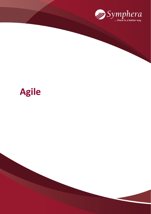

# **Agile**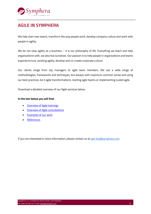

# **AGILE IN SYMPHERA**

We help start new teams, transform the way people work, develop company culture and work with people in agility.

We do not view agility as a business – it is our philosophy of life. Everything we teach and help organizations with, we also live ourselves. Our passion is to help people in organizations and teams experience true, working agility, develop and co-create corporate culture.

Our clients range from top managers to agile team members. We use a wide range of methodologies, frameworks and techniques, but always with maximum common sense and using our best practices, be it agile transformations, starting agile teams or implementing scaled agile.

Download a detailed overview of our Agile services below.

#### **In the text below you will find:**

- [Overview of Agile trainings](#page-2-0)
- [Overview of Agile consultations](#page-5-0)
- [Examples of our work](#page-7-0)
- [References](#page-9-0)

If you are interested in more information, please contact us at [petr.lev@symphera.com](mailto:petr.lev@symphera.com)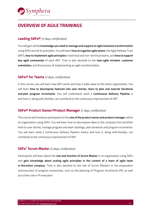

# <span id="page-2-0"></span>**OVERVIEW OF AGILE TRAININGS**

#### **Leading SAFe®** *(2 days, certification)*

You will gain all the **knowledge you need to manage and support an agile business transformation** using SAFe and all its principles. You will learn **how to organize agile teams**, the Agile Release Train (ART), **how to implement agile principles** in technical and non-technical teams, and **how to support key agile ceremonies** of each ART. Time is also devoted to the **lean-agile mindset**, **customer orientation**, and the process of implementing an agile transformation.

#### **SAFe® for Teams** *(2 days, certification)*

In this course, you will learn how ART works and how it adds value to the entire organization. You will learn **how to decompose features into user stories, learn to plan and execute iterations and plan program increments**. You will understand what a **Continuous Delivery Pipeline** is and how it, along with DevOps, can contribute to the continuous improvement of ART.

#### **SAFe® Product Owner/Product Manager** *(2 days, certification)*

This course will introduce participants to the **role of the product owner and product manager** within an organization using SAFe. You will learn how to decompose ideas in the company from portfolio level to user stories, manage program and team backlogs, plan iterations and program increments. You will learn what a Continuous Delivery Pipeline means and how it, along with DevOps, can contribute to the continuous improvement of ART.

#### **SAFe® Scrum Master** *(2 days, certification)*

Participants will learn about the **role and function of Scrum Master** in an organization using SAFe and **gain knowledge about scaling agile principles in the context of a team of agile team or the entire company**. Time is also devoted to the role of Scrum Masters in the preparation and execution of program ceremonies, such as the planning of Program Increments (PI), as well as to their role in PI execution.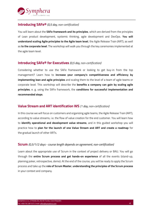

#### **Introducing SAFe®** *(0,5 day, non-certification)*

You will learn about the **SAFe framework and its principles**, which are derived from the principles of Lean product development, systemic thinking, agile development and DevOps. **You will understand scaling Agile principles to the Agile team level**, the Agile Release Train (ART), as well as **to the corporate level**. The workshop will walk you through the key ceremonies implemented at the agile team level.

#### **Introducing SAFe® for Executives** *(0,5 day, non-certification)*

Considering whether to use the SAFe framework or looking to get buy-in from the top management? Learn how to **increase your company's competitiveness and efficiency by implementing lean and agile principles** and scaling them to the level of a team of agile teams or corporate level. This workshop will describe the **benefits a company can gain by scaling agile principles**, e. g. using the SAFe framework, the **conditions for successful implementation and recommended steps**.

#### **Value Stream and ART identification WS** *(1 day, non-certification)*

In this course we will focus on customers and organizing agile teams, the Agile Release Train (ART), according to value streams, i.e. the flow of value creation for the end customer. You will learn how to **identify operational and development value streams**, and in this guided workshop you will practice how to **plan for the launch of one Value Stream and ART and create a roadmap** for the gradual launch of other ARTs.

#### **Scrum** *(0,5/1/2 days - course length depends on agreement, non-certification)*

Learn about the appropriate use of Scrum in the context of project delivery or BAU. You will go through the **entire Scrum process and get hands-on experience** of all the events (stand-up, planning poker, retrospective, demo). At the end of the course, you will be ready to apply the Scrum process and take up the **role of Scrum Master**, **understanding the principles of the Scrum process** in your context and company.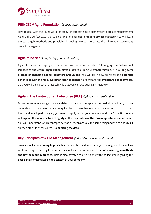

### **PRINCE2® Agile Foundation** *(3 days, certification)*

How to deal with the "buzz word" of today? Incorporate agile elements into project management! Agile is the perfect extension and complement **for every modern project manager**. You will learn the **basic agile methods and principles**, including how to incorporate them into your day-to-day project management.

### **Agile mind set** *(1 day/2 days, non-certification)*

Agile starts with changing mindsets, not processes and structures! **Changing the culture and mindset of the entire organization plays a key role in agile transformation**. It is a **long-term process of changing habits, behaviors and values**. You will learn how to reveal the **essential benefits of working for a customer, user or sponsor**, understand the **importance of teamwork**, plus you will gain a set of practical skills that you can start using immediately.

## **Agile in the Context of an Enterprise (ACE)** *(0,5 day, non-certification)*

Do you encounter a range of agile-related words and concepts in the marketplace that you may understand on their own, but are not quite clear on how they relate to one another, how to connect them, and which part of agility you want to apply within your company and why? The ACE course will **explain the whole picture of agility in the corporation in the form of questions and answers**. You will understand which concepts overlap or mean actually the same thing and which ones build on each other. In other words, "**Connecting the dots**".

#### **Key Principles of Agile Management** *(1 day/2 days, non-certification)*

Trainees will learn **core agile principles** that can be used in both project management as well as while working on pure agile delivery. They will become familiar with the **most used agile methods and try them out in practice**. Time is also devoted to discussions with the lecturer regarding the possibilities of using agile in the context of your company.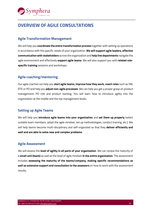

# <span id="page-5-0"></span>**OVERVIEW OF AGILE CONSULTATIONS**

## **Agile Transformation Management**

We will help you **coordinate the entire transformation process** together with setting up operations in accordance with the specific needs of your organization. **We will support agile leaders, effective communication with stakeholders** across the organization and **help line departments** navigate the agile environment and effectively **support agile teams**. We will also support you with **related rolespecific training** sessions and workshops.

## **Agile coaching/mentoring**

Our agile coaches can help you **start agile teams, improve how they work, coach roles** such as SM, RTE or PO and help you **adjust non-agile processes**. We can help you get a proper grasp on product management, PO role and product backlog. You will learn how to introduce agility into the organization at the middle and the top management levels.

## **Setting up Agile Teams**

We will help you **introduce agile teams into your organization** and **set them up properly** (select suitable team members, adopt the agile mindset, set up methodologies, conduct training, etc.). We will help teams become multi-disciplinary and self-organized so that they **deliver efficiently and well and are able to solve new and complex problems**.

## **Agile Assessment**

We will assess the **level of agility in all parts of your organization**. We can review the maturity of a **small unit (team)** as well as the level of agile mindset **in the entire organization**. The assessment includes **assessing the maturity of the teams/company, making specific recommendations as well as extensive support and consultation to the assessors** on how to work with the assessment results.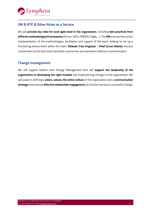

## **SM & RTE & Other Roles as a Service**

We will **provide key roles for each agile level in the organization**, including **best practices from different methodological frameworks** (Scrum, SAFe, PRINCE2 Agile, ...). The **SM** ensures the correct implementation of the methodologies, facilitation and support of the team, helping to set up a functioning environment within the team. **Release Train Engineer - Chief Scrum Master** ensures coordination at the train level, facilitates ceremonies and ascertains effective communication.

## **Change management**

We will support leaders with Change Management that will **support the leadership of the organization in developing the right mindset** and implementing changes in the organization. We will assist in defining a **vision, values, the entire culture** of the organization and a **communication strategy** that ensures **effective stakeholder engagement,** all of which are key to successful change.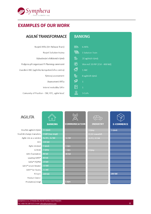<span id="page-7-0"></span>

# **EXAMPLES OF OUR WORK**

# AGILNÍ TRANSFORMACE

| Rozjetí ARTs (Art Release Train)             |  |  |  |  |
|----------------------------------------------|--|--|--|--|
| Rozjetí Solution trainu                      |  |  |  |  |
| Vybudování efektivních týmů                  |  |  |  |  |
| Podpora při organizaci PI Planning ceremonií |  |  |  |  |
| Zavedení AKC (agilního kompetenčního centra) |  |  |  |  |
| Týmový assessment                            |  |  |  |  |
| Assessment ARTu                              |  |  |  |  |
| Interní metodika SAFe                        |  |  |  |  |
| Comunity of Practise – SM, RTE, agilní kouč  |  |  |  |  |
|                                              |  |  |  |  |

# **BANKING**

| 6 ARTs                           |
|----------------------------------|
| 1 Solution Train                 |
| 20 agilních týmů                 |
| Více než 20 PIP (150 - 400 lidí) |
| 1 AKC                            |
| 8 agilních týmů                  |
| $\mathbf{1}$                     |
| $\mathbf{1}$                     |
| 3 CoPs                           |
|                                  |

| <b>AGILITA</b>              | <b>BANKING</b>     | <b>COMMUNICATION</b> | $\overline{C_{0-0}}$<br><b>INDUSTRY</b> | <b>E-COMMERCE</b> |
|-----------------------------|--------------------|----------------------|-----------------------------------------|-------------------|
|                             |                    |                      |                                         |                   |
| Koučink agilních týmů       | 15 týmů            |                      | 3 týmy                                  | 5 týmů            |
| Koučink change manažeru     | 3 lídři (top mngt) |                      | B1,B2 manažeři                          |                   |
| Agile role as a service     | 4x RTE, 1x SM      | 1x SM                | 2x PO, 2X SM                            |                   |
| ACE                         | 100 lidí           |                      |                                         |                   |
| Agile mindset               | 5 týmů             | $1$ tým              |                                         |                   |
| <b>SCRUM</b>                | 3 týmy             | $1$ tým              | 4 týmy                                  |                   |
| SAFe foundation             | 80 lidí            | 40 lidí              |                                         |                   |
| Leading SAFE®               | 80 lidí            |                      |                                         |                   |
| SAFe® PO/PM                 | 20 lidí            |                      |                                         |                   |
| SAFe® Scrum Master          | 10 lidí            |                      |                                         |                   |
| SAFE <sup>®</sup> for Teams | 15 lidí            |                      |                                         |                   |
| P2Agile                     | 100 lidí           |                      |                                         | 100 lidí          |
| Product Owner               |                    |                      |                                         |                   |
| Produktový mngt             |                    | 1 tým                |                                         |                   |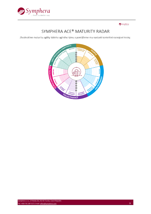



# SYMPHERA ACE® MATURITY RADAR

Zhodnotíme maturitu agility Vašeho agilního týmu a pomůžeme mu nastavit konkrétní rozvojové kroky.

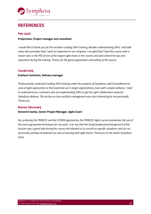

# <span id="page-9-0"></span>**REFERENCES**

#### **Petr Janiš**

#### **Projectman, Project manager and consultant**

*I would like to thank you for the excellent Leading SAFe training. Besides understanding SAFe, I will take away lean principles that I want to implement in our company. I am glad that I took this course with a trainer who is the RTE of one of the largest agile trains in the country and who shared his tips and experience during the training. Thanks for the great organization and setting of the course.*

#### **Tomáš Holý**

#### **Enehano Solutions, Delivery manager**

*Professionally conducted Leading SAFe training under the auspices of Symphera, which broadened my view of agile approaches to their potential use in larger organizations, even with complex delivery. I need to understand our customers who are implementing SAFe to get the right collaborative setup for Salesforce delivery. The section on lean portfolio management was also interesting for me personally. Thank you.*

#### **Roman Větrovský**

#### **Komerční banka, Senior Project Manager, Agile Coach**

*By combining the PRINCE2 and the SCRUM approaches, the PRINCE2 Agile course emphasizes the use of the most appropriate techniques for my work. I can say that the broad professional background of the lecturer was a great help during the course and allowed us to consult on specific situations and, for me personally, perhaps broadened my view of working with agile teams. Thank you to the whole Symphera team.*